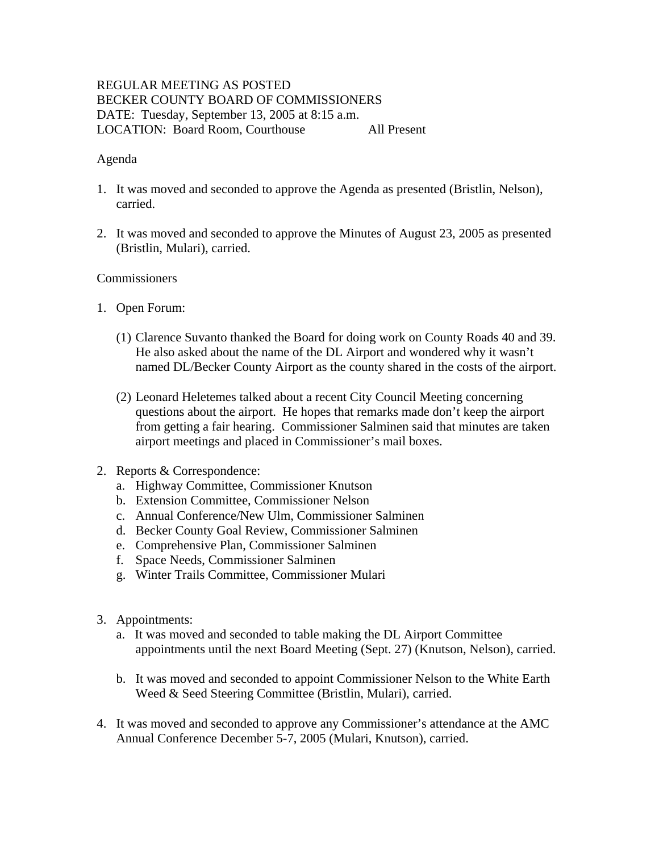# REGULAR MEETING AS POSTED BECKER COUNTY BOARD OF COMMISSIONERS DATE: Tuesday, September 13, 2005 at 8:15 a.m. LOCATION: Board Room, Courthouse All Present

#### Agenda

- 1. It was moved and seconded to approve the Agenda as presented (Bristlin, Nelson), carried.
- 2. It was moved and seconded to approve the Minutes of August 23, 2005 as presented (Bristlin, Mulari), carried.

### **Commissioners**

- 1. Open Forum:
	- (1) Clarence Suvanto thanked the Board for doing work on County Roads 40 and 39. He also asked about the name of the DL Airport and wondered why it wasn't named DL/Becker County Airport as the county shared in the costs of the airport.
	- (2) Leonard Heletemes talked about a recent City Council Meeting concerning questions about the airport. He hopes that remarks made don't keep the airport from getting a fair hearing. Commissioner Salminen said that minutes are taken airport meetings and placed in Commissioner's mail boxes.
- 2. Reports & Correspondence:
	- a. Highway Committee, Commissioner Knutson
	- b. Extension Committee, Commissioner Nelson
	- c. Annual Conference/New Ulm, Commissioner Salminen
	- d. Becker County Goal Review, Commissioner Salminen
	- e. Comprehensive Plan, Commissioner Salminen
	- f. Space Needs, Commissioner Salminen
	- g. Winter Trails Committee, Commissioner Mulari
- 3. Appointments:
	- a. It was moved and seconded to table making the DL Airport Committee appointments until the next Board Meeting (Sept. 27) (Knutson, Nelson), carried.
	- b. It was moved and seconded to appoint Commissioner Nelson to the White Earth Weed & Seed Steering Committee (Bristlin, Mulari), carried.
- 4. It was moved and seconded to approve any Commissioner's attendance at the AMC Annual Conference December 5-7, 2005 (Mulari, Knutson), carried.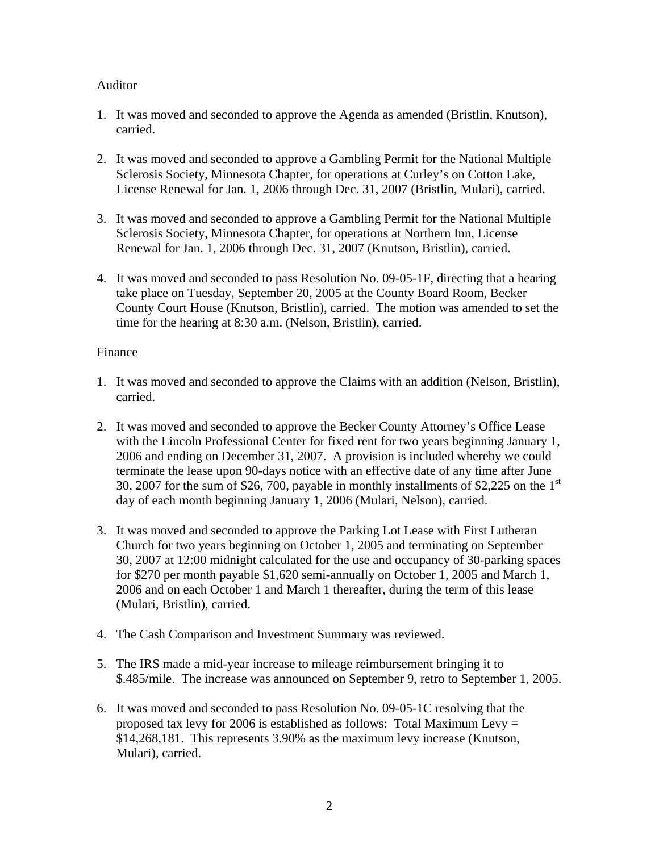## Auditor

- 1. It was moved and seconded to approve the Agenda as amended (Bristlin, Knutson), carried.
- 2. It was moved and seconded to approve a Gambling Permit for the National Multiple Sclerosis Society, Minnesota Chapter, for operations at Curley's on Cotton Lake, License Renewal for Jan. 1, 2006 through Dec. 31, 2007 (Bristlin, Mulari), carried.
- 3. It was moved and seconded to approve a Gambling Permit for the National Multiple Sclerosis Society, Minnesota Chapter, for operations at Northern Inn, License Renewal for Jan. 1, 2006 through Dec. 31, 2007 (Knutson, Bristlin), carried.
- 4. It was moved and seconded to pass Resolution No. 09-05-1F, directing that a hearing take place on Tuesday, September 20, 2005 at the County Board Room, Becker County Court House (Knutson, Bristlin), carried. The motion was amended to set the time for the hearing at 8:30 a.m. (Nelson, Bristlin), carried.

### Finance

- 1. It was moved and seconded to approve the Claims with an addition (Nelson, Bristlin), carried.
- 2. It was moved and seconded to approve the Becker County Attorney's Office Lease with the Lincoln Professional Center for fixed rent for two years beginning January 1, 2006 and ending on December 31, 2007. A provision is included whereby we could terminate the lease upon 90-days notice with an effective date of any time after June 30, 2007 for the sum of \$26, 700, payable in monthly installments of \$2,225 on the  $1<sup>st</sup>$ day of each month beginning January 1, 2006 (Mulari, Nelson), carried.
- 3. It was moved and seconded to approve the Parking Lot Lease with First Lutheran Church for two years beginning on October 1, 2005 and terminating on September 30, 2007 at 12:00 midnight calculated for the use and occupancy of 30-parking spaces for \$270 per month payable \$1,620 semi-annually on October 1, 2005 and March 1, 2006 and on each October 1 and March 1 thereafter, during the term of this lease (Mulari, Bristlin), carried.
- 4. The Cash Comparison and Investment Summary was reviewed.
- 5. The IRS made a mid-year increase to mileage reimbursement bringing it to \$.485/mile. The increase was announced on September 9, retro to September 1, 2005.
- 6. It was moved and seconded to pass Resolution No. 09-05-1C resolving that the proposed tax levy for 2006 is established as follows: Total Maximum Levy  $=$ \$14,268,181. This represents 3.90% as the maximum levy increase (Knutson, Mulari), carried.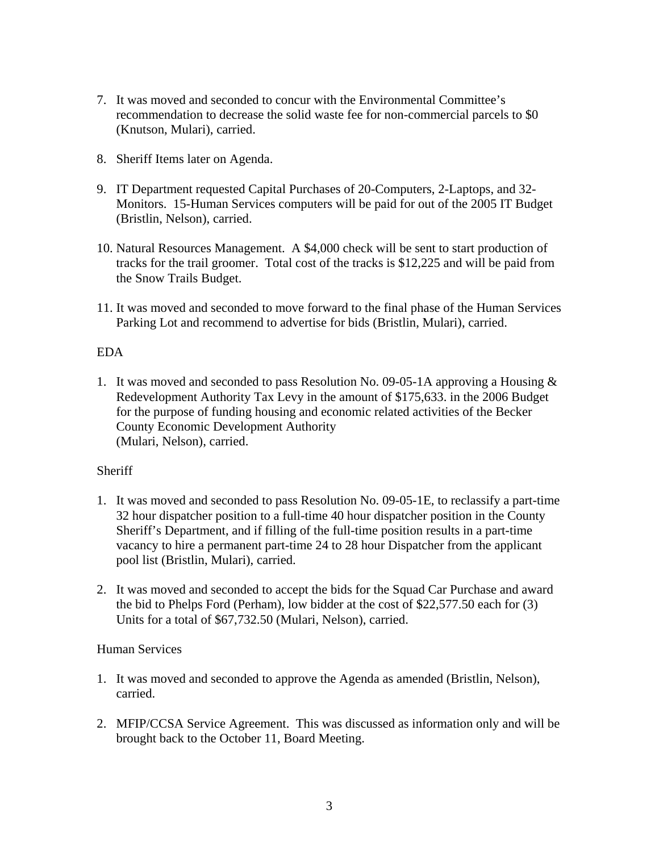- 7. It was moved and seconded to concur with the Environmental Committee's recommendation to decrease the solid waste fee for non-commercial parcels to \$0 (Knutson, Mulari), carried.
- 8. Sheriff Items later on Agenda.
- 9. IT Department requested Capital Purchases of 20-Computers, 2-Laptops, and 32- Monitors. 15-Human Services computers will be paid for out of the 2005 IT Budget (Bristlin, Nelson), carried.
- 10. Natural Resources Management. A \$4,000 check will be sent to start production of tracks for the trail groomer. Total cost of the tracks is \$12,225 and will be paid from the Snow Trails Budget.
- 11. It was moved and seconded to move forward to the final phase of the Human Services Parking Lot and recommend to advertise for bids (Bristlin, Mulari), carried.

### EDA

1. It was moved and seconded to pass Resolution No. 09-05-1A approving a Housing & Redevelopment Authority Tax Levy in the amount of \$175,633. in the 2006 Budget for the purpose of funding housing and economic related activities of the Becker County Economic Development Authority (Mulari, Nelson), carried.

# **Sheriff**

- 1. It was moved and seconded to pass Resolution No. 09-05-1E, to reclassify a part-time 32 hour dispatcher position to a full-time 40 hour dispatcher position in the County Sheriff's Department, and if filling of the full-time position results in a part-time vacancy to hire a permanent part-time 24 to 28 hour Dispatcher from the applicant pool list (Bristlin, Mulari), carried.
- 2. It was moved and seconded to accept the bids for the Squad Car Purchase and award the bid to Phelps Ford (Perham), low bidder at the cost of \$22,577.50 each for (3) Units for a total of \$67,732.50 (Mulari, Nelson), carried.

#### Human Services

- 1. It was moved and seconded to approve the Agenda as amended (Bristlin, Nelson), carried.
- 2. MFIP/CCSA Service Agreement. This was discussed as information only and will be brought back to the October 11, Board Meeting.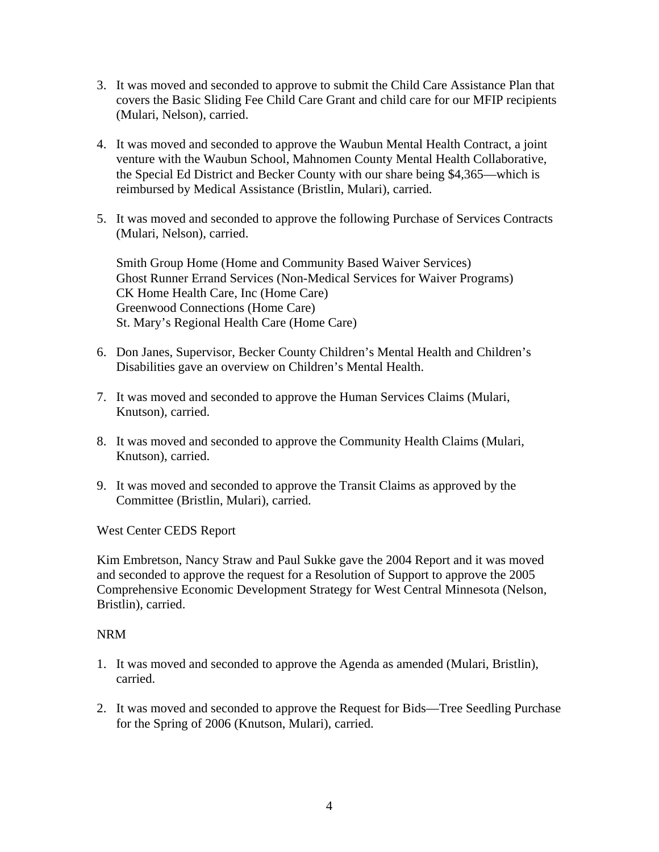- 3. It was moved and seconded to approve to submit the Child Care Assistance Plan that covers the Basic Sliding Fee Child Care Grant and child care for our MFIP recipients (Mulari, Nelson), carried.
- 4. It was moved and seconded to approve the Waubun Mental Health Contract, a joint venture with the Waubun School, Mahnomen County Mental Health Collaborative, the Special Ed District and Becker County with our share being \$4,365—which is reimbursed by Medical Assistance (Bristlin, Mulari), carried.
- 5. It was moved and seconded to approve the following Purchase of Services Contracts (Mulari, Nelson), carried.

Smith Group Home (Home and Community Based Waiver Services) Ghost Runner Errand Services (Non-Medical Services for Waiver Programs) CK Home Health Care, Inc (Home Care) Greenwood Connections (Home Care) St. Mary's Regional Health Care (Home Care)

- 6. Don Janes, Supervisor, Becker County Children's Mental Health and Children's Disabilities gave an overview on Children's Mental Health.
- 7. It was moved and seconded to approve the Human Services Claims (Mulari, Knutson), carried.
- 8. It was moved and seconded to approve the Community Health Claims (Mulari, Knutson), carried.
- 9. It was moved and seconded to approve the Transit Claims as approved by the Committee (Bristlin, Mulari), carried.

West Center CEDS Report

Kim Embretson, Nancy Straw and Paul Sukke gave the 2004 Report and it was moved and seconded to approve the request for a Resolution of Support to approve the 2005 Comprehensive Economic Development Strategy for West Central Minnesota (Nelson, Bristlin), carried.

#### NRM

- 1. It was moved and seconded to approve the Agenda as amended (Mulari, Bristlin), carried.
- 2. It was moved and seconded to approve the Request for Bids—Tree Seedling Purchase for the Spring of 2006 (Knutson, Mulari), carried.